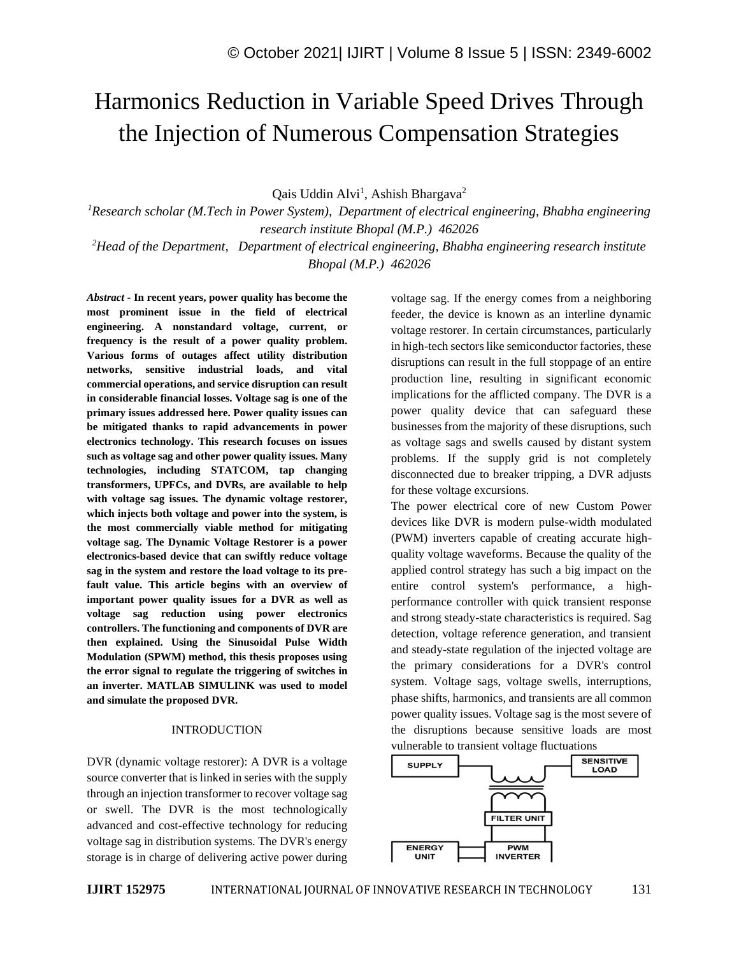# Harmonics Reduction in Variable Speed Drives Through the Injection of Numerous Compensation Strategies

Qais Uddin Alvi<sup>1</sup>, Ashish Bhargava<sup>2</sup>

*<sup>1</sup>Research scholar (M.Tech in Power System), Department of electrical engineering, Bhabha engineering research institute Bhopal (M.P.) 462026*

*<sup>2</sup>Head of the Department, Department of electrical engineering, Bhabha engineering research institute Bhopal (M.P.) 462026*

*Abstract -* **In recent years, power quality has become the most prominent issue in the field of electrical engineering. A nonstandard voltage, current, or frequency is the result of a power quality problem. Various forms of outages affect utility distribution networks, sensitive industrial loads, and vital commercial operations, and service disruption can result in considerable financial losses. Voltage sag is one of the primary issues addressed here. Power quality issues can be mitigated thanks to rapid advancements in power electronics technology. This research focuses on issues such as voltage sag and other power quality issues. Many technologies, including STATCOM, tap changing transformers, UPFCs, and DVRs, are available to help with voltage sag issues. The dynamic voltage restorer, which injects both voltage and power into the system, is the most commercially viable method for mitigating voltage sag. The Dynamic Voltage Restorer is a power electronics-based device that can swiftly reduce voltage sag in the system and restore the load voltage to its prefault value. This article begins with an overview of important power quality issues for a DVR as well as voltage sag reduction using power electronics controllers. The functioning and components of DVR are then explained. Using the Sinusoidal Pulse Width Modulation (SPWM) method, this thesis proposes using the error signal to regulate the triggering of switches in an inverter. MATLAB SIMULINK was used to model and simulate the proposed DVR.**

### INTRODUCTION

DVR (dynamic voltage restorer): A DVR is a voltage source converter that is linked in series with the supply through an injection transformer to recover voltage sag or swell. The DVR is the most technologically advanced and cost-effective technology for reducing voltage sag in distribution systems. The DVR's energy storage is in charge of delivering active power during voltage sag. If the energy comes from a neighboring feeder, the device is known as an interline dynamic voltage restorer. In certain circumstances, particularly in high-tech sectors like semiconductor factories, these disruptions can result in the full stoppage of an entire production line, resulting in significant economic implications for the afflicted company. The DVR is a power quality device that can safeguard these businesses from the majority of these disruptions, such as voltage sags and swells caused by distant system problems. If the supply grid is not completely disconnected due to breaker tripping, a DVR adjusts for these voltage excursions.

The power electrical core of new Custom Power devices like DVR is modern pulse-width modulated (PWM) inverters capable of creating accurate highquality voltage waveforms. Because the quality of the applied control strategy has such a big impact on the entire control system's performance, a highperformance controller with quick transient response and strong steady-state characteristics is required. Sag detection, voltage reference generation, and transient and steady-state regulation of the injected voltage are the primary considerations for a DVR's control system. Voltage sags, voltage swells, interruptions, phase shifts, harmonics, and transients are all common power quality issues. Voltage sag is the most severe of the disruptions because sensitive loads are most vulnerable to transient voltage fluctuations

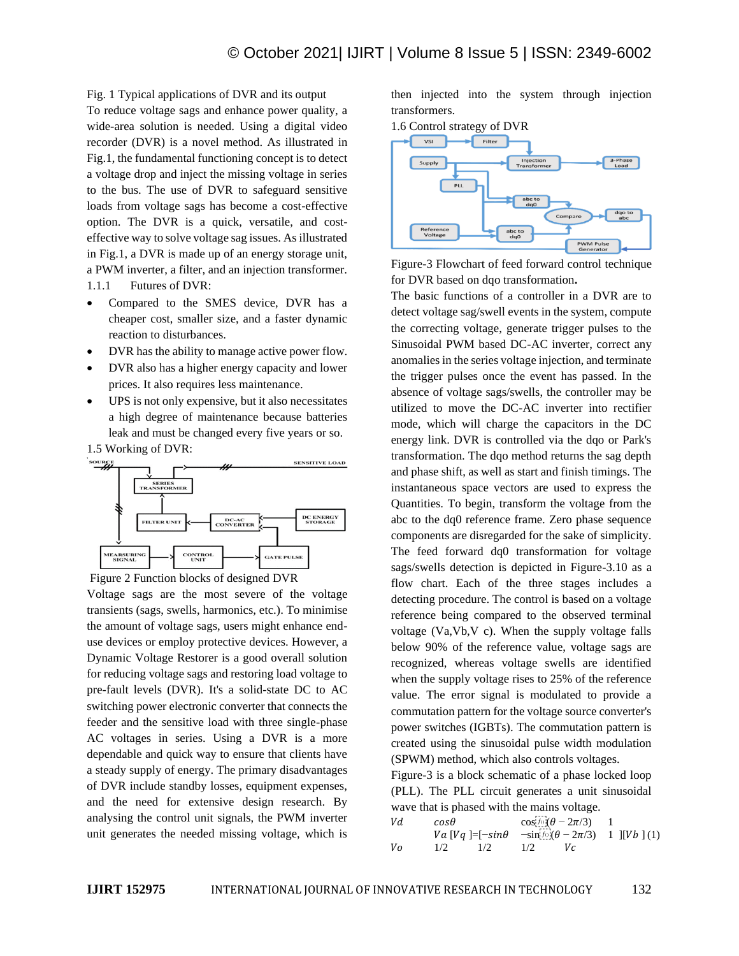Fig. 1 Typical applications of DVR and its output

To reduce voltage sags and enhance power quality, a wide-area solution is needed. Using a digital video recorder (DVR) is a novel method. As illustrated in Fig.1, the fundamental functioning concept is to detect a voltage drop and inject the missing voltage in series to the bus. The use of DVR to safeguard sensitive loads from voltage sags has become a cost-effective option. The DVR is a quick, versatile, and costeffective way to solve voltage sag issues. As illustrated in Fig.1, a DVR is made up of an energy storage unit, a PWM inverter, a filter, and an injection transformer. 1.1.1 Futures of DVR:

- Compared to the SMES device, DVR has a cheaper cost, smaller size, and a faster dynamic reaction to disturbances.
- DVR has the ability to manage active power flow.
- DVR also has a higher energy capacity and lower prices. It also requires less maintenance.
- UPS is not only expensive, but it also necessitates a high degree of maintenance because batteries leak and must be changed every five years or so.

1.5 Working of DVR:



Voltage sags are the most severe of the voltage transients (sags, swells, harmonics, etc.). To minimise the amount of voltage sags, users might enhance enduse devices or employ protective devices. However, a Dynamic Voltage Restorer is a good overall solution for reducing voltage sags and restoring load voltage to pre-fault levels (DVR). It's a solid-state DC to AC switching power electronic converter that connects the feeder and the sensitive load with three single-phase AC voltages in series. Using a DVR is a more dependable and quick way to ensure that clients have a steady supply of energy. The primary disadvantages of DVR include standby losses, equipment expenses, and the need for extensive design research. By analysing the control unit signals, the PWM inverter unit generates the needed missing voltage, which is then injected into the system through injection transformers.





Figure-3 Flowchart of feed forward control technique for DVR based on dqo transformation**.**

The basic functions of a controller in a DVR are to detect voltage sag/swell events in the system, compute the correcting voltage, generate trigger pulses to the Sinusoidal PWM based DC-AC inverter, correct any anomalies in the series voltage injection, and terminate the trigger pulses once the event has passed. In the absence of voltage sags/swells, the controller may be utilized to move the DC-AC inverter into rectifier mode, which will charge the capacitors in the DC energy link. DVR is controlled via the dqo or Park's transformation. The dqo method returns the sag depth and phase shift, as well as start and finish timings. The instantaneous space vectors are used to express the Quantities. To begin, transform the voltage from the abc to the dq0 reference frame. Zero phase sequence components are disregarded for the sake of simplicity. The feed forward dq0 transformation for voltage sags/swells detection is depicted in Figure-3.10 as a flow chart. Each of the three stages includes a detecting procedure. The control is based on a voltage reference being compared to the observed terminal voltage (Va,Vb,V c). When the supply voltage falls below 90% of the reference value, voltage sags are recognized, whereas voltage swells are identified when the supply voltage rises to 25% of the reference value. The error signal is modulated to provide a commutation pattern for the voltage source converter's power switches (IGBTs). The commutation pattern is created using the sinusoidal pulse width modulation (SPWM) method, which also controls voltages.

Figure-3 is a block schematic of a phase locked loop (PLL). The PLL circuit generates a unit sinusoidal wave that is phased with the mains voltage.

| Vd | $cos\theta$ |     | $\cos f \circ (\theta - 2\pi/3)$<br>Va [Vq ]= $[-\sin\theta$ $-\sin[$ <i>fo</i> $(\theta - 2\pi/3)$ 1 ][Vb ] (1) |    |  |
|----|-------------|-----|------------------------------------------------------------------------------------------------------------------|----|--|
|    |             |     |                                                                                                                  |    |  |
| Vo | 1/2         | 1/2 | 1/2                                                                                                              | Vc |  |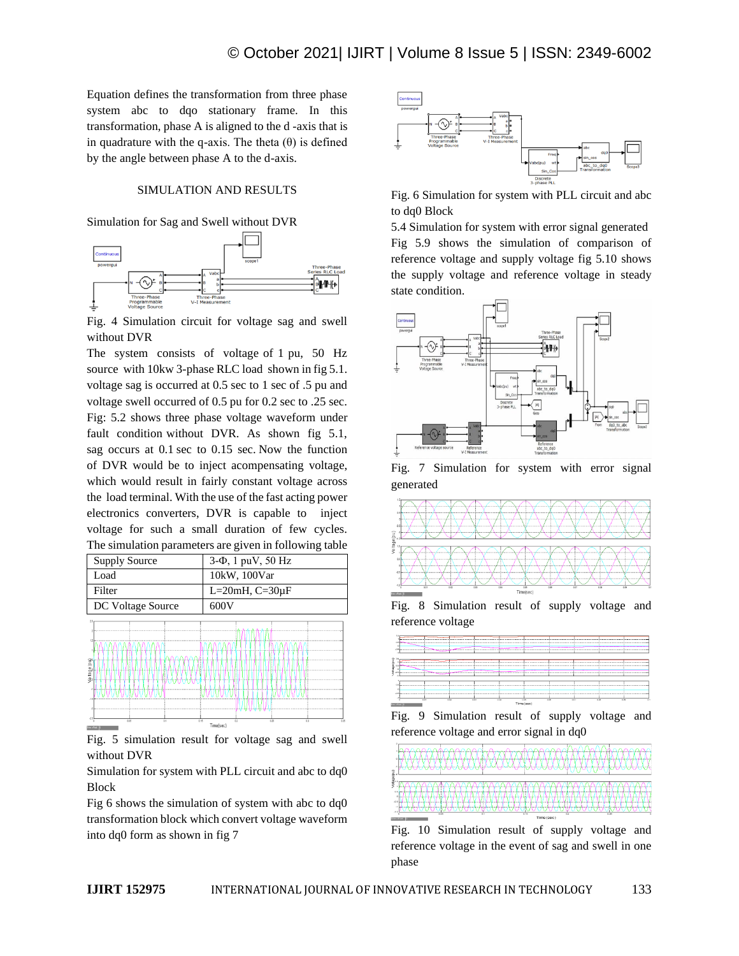Equation defines the transformation from three phase system abc to dqo stationary frame. In this transformation, phase A is aligned to the d -axis that is in quadrature with the q-axis. The theta (θ) is defined by the angle between phase A to the d-axis.

## SIMULATION AND RESULTS

Simulation for Sag and Swell without DVR



Fig. 4 Simulation circuit for voltage sag and swell without DVR

The system consists of voltage of 1 pu, 50 Hz source with 10kw 3-phase RLC load shown in fig 5.1. voltage sag is occurred at 0.5 sec to 1 sec of .5 pu and voltage swell occurred of 0.5 pu for 0.2 sec to .25 sec. Fig: 5.2 shows three phase voltage waveform under fault condition without DVR. As shown fig 5.1, sag occurs at 0.1 sec to 0.15 sec. Now the function of DVR would be to inject acompensating voltage, which would result in fairly constant voltage across the load terminal. With the use of the fast acting power electronics converters, DVR is capable to inject voltage for such a small duration of few cycles. The simulation parameters are given in following table



Fig. 5 simulation result for voltage sag and swell without DVR

Simulation for system with PLL circuit and abc to dq0 Block

Fig 6 shows the simulation of system with abc to dq0 transformation block which convert voltage waveform into dq0 form as shown in fig 7



Fig. 6 Simulation for system with PLL circuit and abc to dq0 Block

5.4 Simulation for system with error signal generated Fig 5.9 shows the simulation of comparison of reference voltage and supply voltage fig 5.10 shows the supply voltage and reference voltage in steady state condition.



Fig. 7 Simulation for system with error signal generated



Fig. 8 Simulation result of supply voltage and reference voltage







Fig. 10 Simulation result of supply voltage and reference voltage in the event of sag and swell in one phase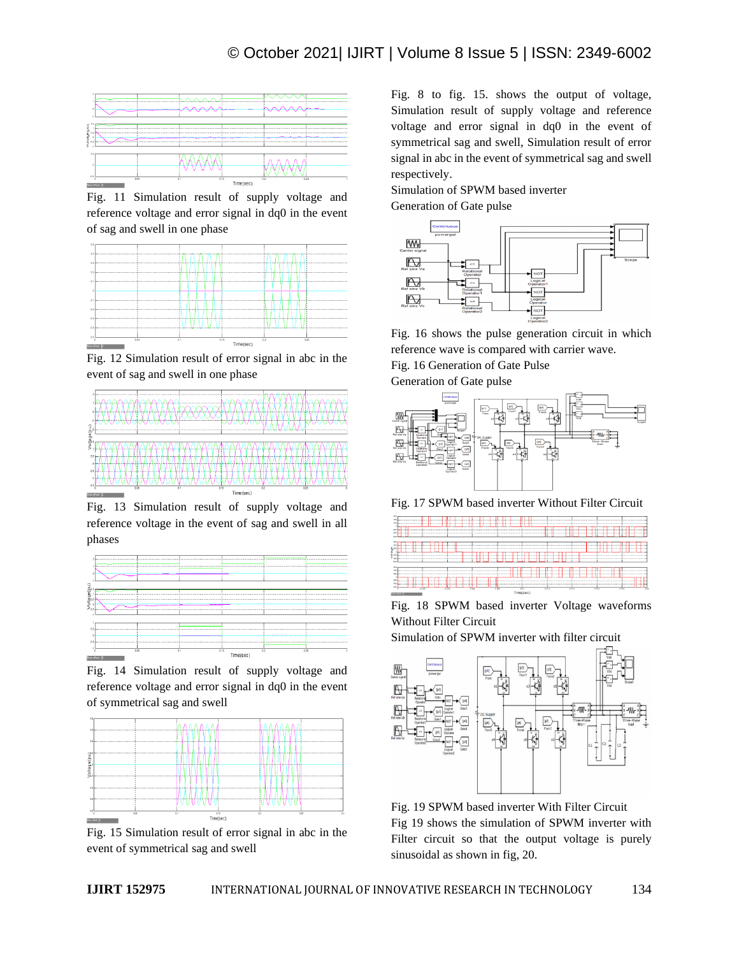

Fig. 11 Simulation result of supply voltage and reference voltage and error signal in dq0 in the event of sag and swell in one phase



Fig. 12 Simulation result of error signal in abc in the event of sag and swell in one phase



Fig. 13 Simulation result of supply voltage and reference voltage in the event of sag and swell in all phases



Fig. 14 Simulation result of supply voltage and reference voltage and error signal in dq0 in the event of symmetrical sag and swell



Fig. 15 Simulation result of error signal in abc in the event of symmetrical sag and swell

Fig. 8 to fig. 15. shows the output of voltage, Simulation result of supply voltage and reference voltage and error signal in dq0 in the event of symmetrical sag and swell, Simulation result of error signal in abc in the event of symmetrical sag and swell respectively.

Simulation of SPWM based inverter Generation of Gate pulse



Fig. 16 shows the pulse generation circuit in which reference wave is compared with carrier wave.

Fig. 16 Generation of Gate Pulse

Generation of Gate pulse



Fig. 17 SPWM based inverter Without Filter Circuit



Fig. 18 SPWM based inverter Voltage waveforms Without Filter Circuit

Simulation of SPWM inverter with filter circuit



Fig. 19 SPWM based inverter With Filter Circuit Fig 19 shows the simulation of SPWM inverter with Filter circuit so that the output voltage is purely sinusoidal as shown in fig, 20.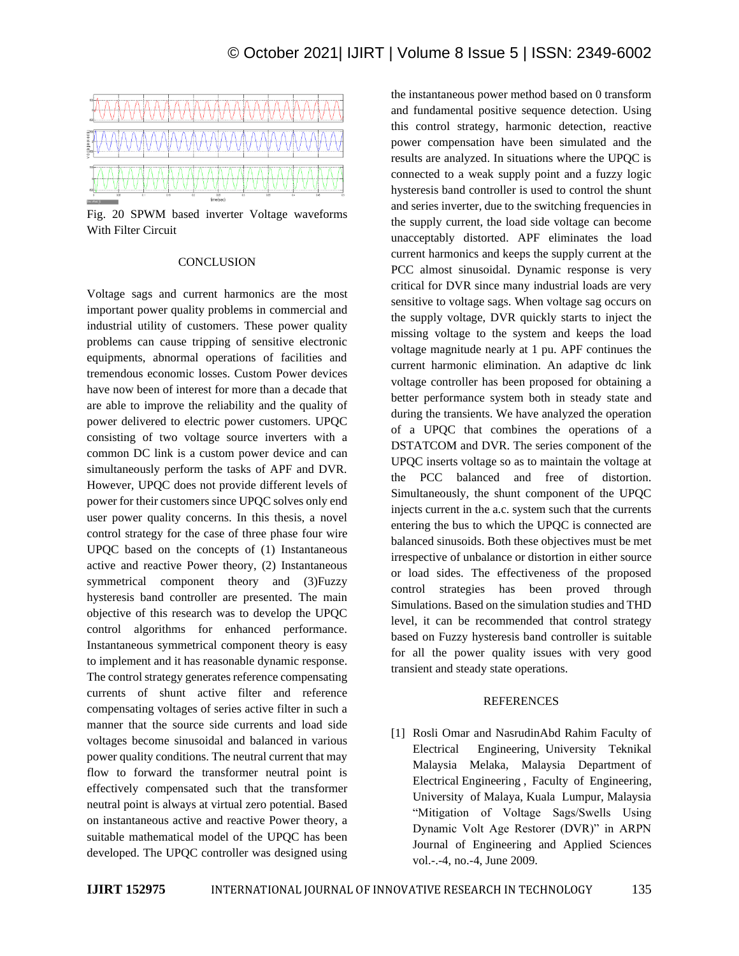

Fig. 20 SPWM based inverter Voltage waveforms With Filter Circuit

#### **CONCLUSION**

Voltage sags and current harmonics are the most important power quality problems in commercial and industrial utility of customers. These power quality problems can cause tripping of sensitive electronic equipments, abnormal operations of facilities and tremendous economic losses. Custom Power devices have now been of interest for more than a decade that are able to improve the reliability and the quality of power delivered to electric power customers. UPQC consisting of two voltage source inverters with a common DC link is a custom power device and can simultaneously perform the tasks of APF and DVR. However, UPQC does not provide different levels of power for their customers since UPQC solves only end user power quality concerns. In this thesis, a novel control strategy for the case of three phase four wire UPQC based on the concepts of (1) Instantaneous active and reactive Power theory, (2) Instantaneous symmetrical component theory and (3)Fuzzy hysteresis band controller are presented. The main objective of this research was to develop the UPQC control algorithms for enhanced performance. Instantaneous symmetrical component theory is easy to implement and it has reasonable dynamic response. The control strategy generates reference compensating currents of shunt active filter and reference compensating voltages of series active filter in such a manner that the source side currents and load side voltages become sinusoidal and balanced in various power quality conditions. The neutral current that may flow to forward the transformer neutral point is effectively compensated such that the transformer neutral point is always at virtual zero potential. Based on instantaneous active and reactive Power theory, a suitable mathematical model of the UPQC has been developed. The UPQC controller was designed using

the instantaneous power method based on 0 transform and fundamental positive sequence detection. Using this control strategy, harmonic detection, reactive power compensation have been simulated and the results are analyzed. In situations where the UPQC is connected to a weak supply point and a fuzzy logic hysteresis band controller is used to control the shunt and series inverter, due to the switching frequencies in the supply current, the load side voltage can become unacceptably distorted. APF eliminates the load current harmonics and keeps the supply current at the PCC almost sinusoidal. Dynamic response is very critical for DVR since many industrial loads are very sensitive to voltage sags. When voltage sag occurs on the supply voltage, DVR quickly starts to inject the missing voltage to the system and keeps the load voltage magnitude nearly at 1 pu. APF continues the current harmonic elimination. An adaptive dc link voltage controller has been proposed for obtaining a better performance system both in steady state and during the transients. We have analyzed the operation of a UPQC that combines the operations of a DSTATCOM and DVR. The series component of the UPQC inserts voltage so as to maintain the voltage at the PCC balanced and free of distortion. Simultaneously, the shunt component of the UPQC injects current in the a.c. system such that the currents entering the bus to which the UPQC is connected are balanced sinusoids. Both these objectives must be met irrespective of unbalance or distortion in either source or load sides. The effectiveness of the proposed control strategies has been proved through Simulations. Based on the simulation studies and THD level, it can be recommended that control strategy based on Fuzzy hysteresis band controller is suitable for all the power quality issues with very good transient and steady state operations.

#### REFERENCES

[1] Rosli Omar and NasrudinAbd Rahim Faculty of Electrical Engineering, University Teknikal Malaysia Melaka, Malaysia Department of Electrical Engineering , Faculty of Engineering, University of Malaya, Kuala Lumpur, Malaysia "Mitigation of Voltage Sags/Swells Using Dynamic Volt Age Restorer (DVR)" in ARPN Journal of Engineering and Applied Sciences vol.-.-4, no.-4, June 2009.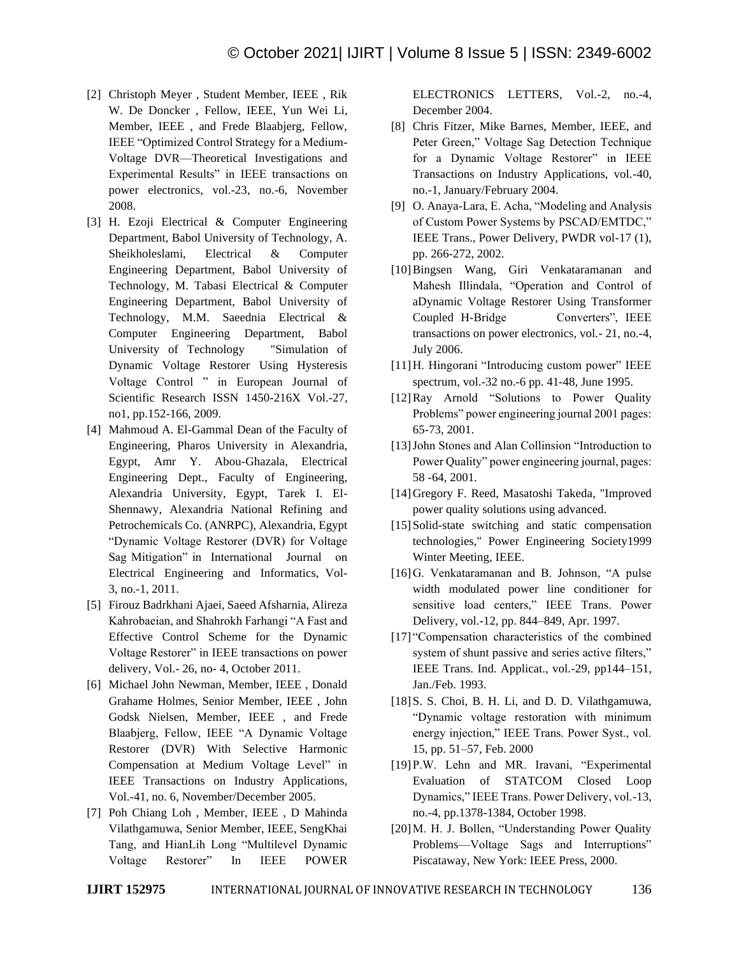- [2] Christoph Meyer , Student Member, IEEE , Rik W. De Doncker , Fellow, IEEE, Yun Wei Li, Member, IEEE , and Frede Blaabjerg, Fellow, IEEE "Optimized Control Strategy for a Medium-Voltage DVR—Theoretical Investigations and Experimental Results" in IEEE transactions on power electronics, vol.-23, no.-6, November 2008.
- [3] H. Ezoji Electrical & Computer Engineering Department, Babol University of Technology, A. Sheikholeslami, Electrical & Computer Engineering Department, Babol University of Technology, M. Tabasi Electrical & Computer Engineering Department, Babol University of Technology, M.M. Saeednia Electrical & Computer Engineering Department, Babol University of Technology "Simulation of Dynamic Voltage Restorer Using Hysteresis Voltage Control " in European Journal of Scientific Research ISSN 1450-216X Vol.-27, no1, pp.152-166, 2009.
- [4] Mahmoud A. El-Gammal Dean of the Faculty of Engineering, Pharos University in Alexandria, Egypt, Amr Y. Abou-Ghazala, Electrical Engineering Dept., Faculty of Engineering, Alexandria University, Egypt, Tarek I. El-Shennawy, Alexandria National Refining and Petrochemicals Co. (ANRPC), Alexandria, Egypt "Dynamic Voltage Restorer (DVR) for Voltage Sag Mitigation" in International Journal on Electrical Engineering and Informatics, Vol-3, no.-1, 2011.
- [5] Firouz Badrkhani Ajaei, Saeed Afsharnia, Alireza Kahrobaeian, and Shahrokh Farhangi "A Fast and Effective Control Scheme for the Dynamic Voltage Restorer" in IEEE transactions on power delivery, Vol.- 26, no- 4, October 2011.
- [6] Michael John Newman, Member, IEEE , Donald Grahame Holmes, Senior Member, IEEE , John Godsk Nielsen, Member, IEEE , and Frede Blaabjerg, Fellow, IEEE "A Dynamic Voltage Restorer (DVR) With Selective Harmonic Compensation at Medium Voltage Level" in IEEE Transactions on Industry Applications, Vol.-41, no. 6, November/December 2005.
- [7] Poh Chiang Loh , Member, IEEE , D Mahinda Vilathgamuwa, Senior Member, IEEE, SengKhai Tang, and HianLih Long "Multilevel Dynamic Voltage Restorer" In IEEE POWER

ELECTRONICS LETTERS, Vol.-2, no.-4, December 2004.

- [8] Chris Fitzer, Mike Barnes, Member, IEEE, and Peter Green," Voltage Sag Detection Technique for a Dynamic Voltage Restorer" in IEEE Transactions on Industry Applications, vol.-40, no.-1, January/February 2004.
- [9] O. Anaya-Lara, E. Acha, "Modeling and Analysis of Custom Power Systems by PSCAD/EMTDC," IEEE Trans., Power Delivery, PWDR vol-17 (1), pp. 266-272, 2002.
- [10]Bingsen Wang, Giri Venkataramanan and Mahesh Illindala, "Operation and Control of aDynamic Voltage Restorer Using Transformer Coupled H-Bridge Converters", IEEE transactions on power electronics, vol.- 21, no.-4, July 2006.
- [11]H. Hingorani "Introducing custom power" IEEE spectrum, vol.-32 no.-6 pp. 41-48, June 1995.
- [12]Ray Arnold "Solutions to Power Quality Problems" power engineering journal 2001 pages: 65-73, 2001.
- [13] John Stones and Alan Collinsion "Introduction to Power Quality" power engineering journal, pages: 58 -64, 2001.
- [14]Gregory F. Reed, Masatoshi Takeda, "Improved power quality solutions using advanced.
- [15] Solid-state switching and static compensation technologies," Power Engineering Society1999 Winter Meeting, IEEE.
- [16]G. Venkataramanan and B. Johnson, "A pulse width modulated power line conditioner for sensitive load centers," IEEE Trans. Power Delivery, vol.-12, pp. 844–849, Apr. 1997.
- [17] "Compensation characteristics of the combined system of shunt passive and series active filters," IEEE Trans. Ind. Applicat., vol.-29, pp144–151, Jan./Feb. 1993.
- [18] S. S. Choi, B. H. Li, and D. D. Vilathgamuwa, "Dynamic voltage restoration with minimum energy injection," IEEE Trans. Power Syst., vol. 15, pp. 51–57, Feb. 2000
- [19]P.W. Lehn and MR. Iravani, "Experimental Evaluation of STATCOM Closed Loop Dynamics," IEEE Trans. Power Delivery, vol.-13, no.-4, pp.1378-1384, October 1998.
- [20]M. H. J. Bollen, "Understanding Power Quality Problems—Voltage Sags and Interruptions" Piscataway, New York: IEEE Press, 2000.